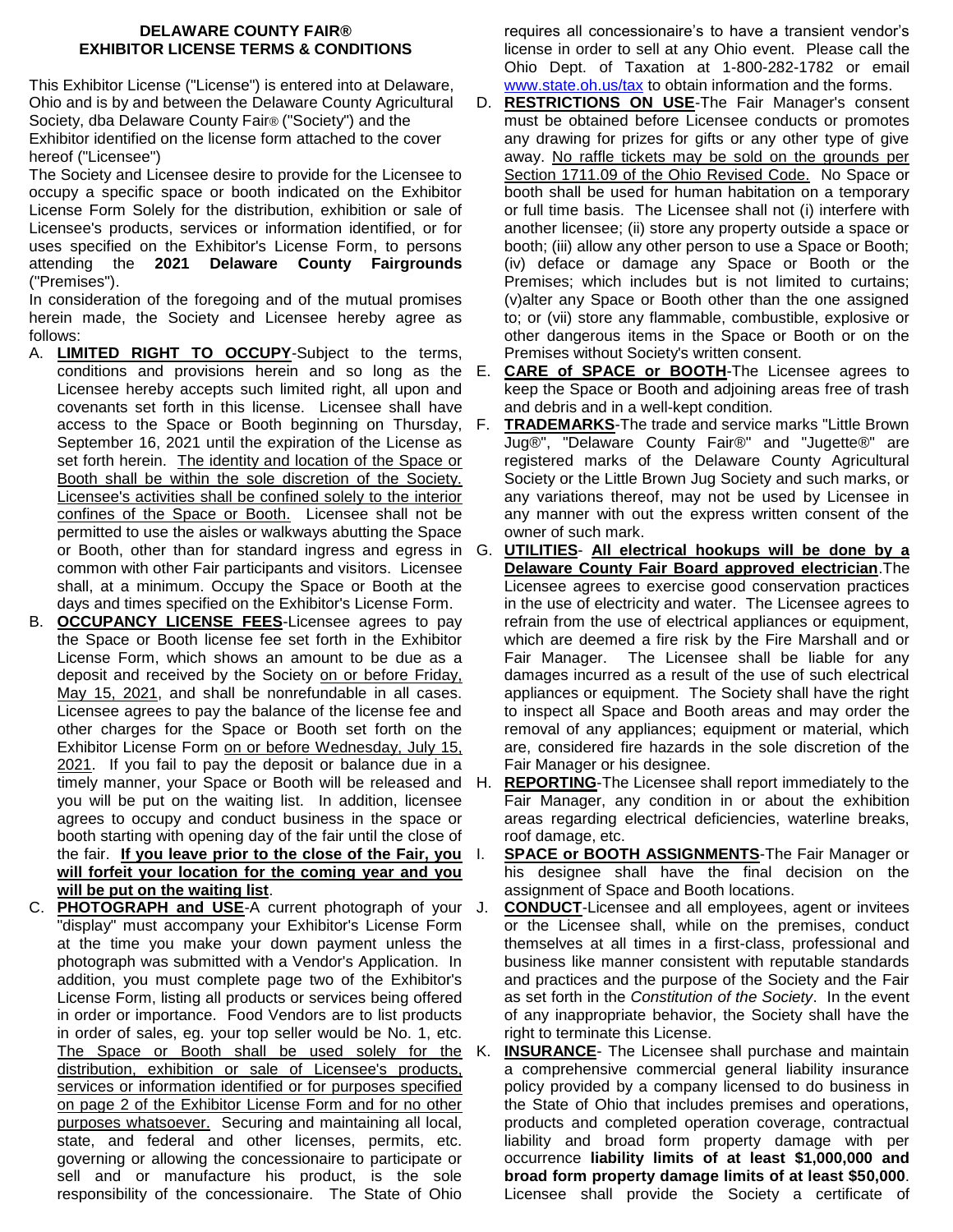## **DELAWARE COUNTY FAIR® EXHIBITOR LICENSE TERMS & CONDITIONS**

This Exhibitor License ("License") is entered into at Delaware, Ohio and is by and between the Delaware County Agricultural Society, dba Delaware County Fair® ("Society") and the Exhibitor identified on the license form attached to the cover

hereof ("Licensee")

The Society and Licensee desire to provide for the Licensee to occupy a specific space or booth indicated on the Exhibitor License Form Solely for the distribution, exhibition or sale of Licensee's products, services or information identified, or for uses specified on the Exhibitor's License Form, to persons attending the **2021 Delaware County Fairgrounds** ("Premises").

In consideration of the foregoing and of the mutual promises herein made, the Society and Licensee hereby agree as follows:

- A. **LIMITED RIGHT TO OCCUPY**-Subject to the terms, Licensee hereby accepts such limited right, all upon and covenants set forth in this license. Licensee shall have access to the Space or Booth beginning on Thursday, September 16, 2021 until the expiration of the License as set forth herein. The identity and location of the Space or Booth shall be within the sole discretion of the Society. Licensee's activities shall be confined solely to the interior confines of the Space or Booth. Licensee shall not be permitted to use the aisles or walkways abutting the Space or Booth, other than for standard ingress and egress in common with other Fair participants and visitors. Licensee shall, at a minimum. Occupy the Space or Booth at the days and times specified on the Exhibitor's License Form.
- B. **OCCUPANCY LICENSE FEES**-Licensee agrees to pay the Space or Booth license fee set forth in the Exhibitor License Form, which shows an amount to be due as a deposit and received by the Society on or before Friday, May 15, 2021, and shall be nonrefundable in all cases. Licensee agrees to pay the balance of the license fee and other charges for the Space or Booth set forth on the Exhibitor License Form on or before Wednesday, July 15, 2021. If you fail to pay the deposit or balance due in a you will be put on the waiting list. In addition, licensee agrees to occupy and conduct business in the space or booth starting with opening day of the fair until the close of the fair. **If you leave prior to the close of the Fair, you will forfeit your location for the coming year and you will be put on the waiting list**.
- C. **PHOTOGRAPH and USE**-A current photograph of your "display" must accompany your Exhibitor's License Form at the time you make your down payment unless the photograph was submitted with a Vendor's Application. In addition, you must complete page two of the Exhibitor's License Form, listing all products or services being offered in order or importance. Food Vendors are to list products in order of sales, eg. your top seller would be No. 1, etc. The Space or Booth shall be used solely for the K. distribution, exhibition or sale of Licensee's products, services or information identified or for purposes specified on page 2 of the Exhibitor License Form and for no other purposes whatsoever. Securing and maintaining all local, state, and federal and other licenses, permits, etc. governing or allowing the concessionaire to participate or sell and or manufacture his product, is the sole responsibility of the concessionaire. The State of Ohio

requires all concessionaire's to have a transient vendor's license in order to sell at any Ohio event. Please call the Ohio Dept. of Taxation at 1-800-282-1782 or email [www.state.oh.us/tax](http://www.state.oh.us/tax) to obtain information and the forms.

- D. **RESTRICTIONS ON USE**-The Fair Manager's consent must be obtained before Licensee conducts or promotes any drawing for prizes for gifts or any other type of give away. No raffle tickets may be sold on the grounds per Section 1711.09 of the Ohio Revised Code. No Space or booth shall be used for human habitation on a temporary or full time basis. The Licensee shall not (i) interfere with another licensee; (ii) store any property outside a space or booth; (iii) allow any other person to use a Space or Booth; (iv) deface or damage any Space or Booth or the Premises; which includes but is not limited to curtains; (v)alter any Space or Booth other than the one assigned to; or (vii) store any flammable, combustible, explosive or other dangerous items in the Space or Booth or on the Premises without Society's written consent.
- conditions and provisions herein and so long as the E. **CARE of SPACE or BOOTH**-The Licensee agrees to keep the Space or Booth and adjoining areas free of trash and debris and in a well-kept condition.
	- F. **TRADEMARKS**-The trade and service marks "Little Brown Jug®", "Delaware County Fair®" and "Jugette®" are registered marks of the Delaware County Agricultural Society or the Little Brown Jug Society and such marks, or any variations thereof, may not be used by Licensee in any manner with out the express written consent of the owner of such mark.
	- G. **UTILITIES All electrical hookups will be done by a Delaware County Fair Board approved electrician**.The Licensee agrees to exercise good conservation practices in the use of electricity and water. The Licensee agrees to refrain from the use of electrical appliances or equipment, which are deemed a fire risk by the Fire Marshall and or Fair Manager. The Licensee shall be liable for any damages incurred as a result of the use of such electrical appliances or equipment. The Society shall have the right to inspect all Space and Booth areas and may order the removal of any appliances; equipment or material, which are, considered fire hazards in the sole discretion of the Fair Manager or his designee.
- timely manner, your Space or Booth will be released and H. **REPORTING**-The Licensee shall report immediately to the Fair Manager, any condition in or about the exhibition areas regarding electrical deficiencies, waterline breaks, roof damage, etc.
	- **SPACE or BOOTH ASSIGNMENTS-The Fair Manager or** his designee shall have the final decision on the assignment of Space and Booth locations.
	- **CONDUCT**-Licensee and all employees, agent or invitees or the Licensee shall, while on the premises, conduct themselves at all times in a first-class, professional and business like manner consistent with reputable standards and practices and the purpose of the Society and the Fair as set forth in the *Constitution of the Society*. In the event of any inappropriate behavior, the Society shall have the right to terminate this License.
	- **INSURANCE-** The Licensee shall purchase and maintain a comprehensive commercial general liability insurance policy provided by a company licensed to do business in the State of Ohio that includes premises and operations, products and completed operation coverage, contractual liability and broad form property damage with per occurrence **liability limits of at least \$1,000,000 and broad form property damage limits of at least \$50,000**. Licensee shall provide the Society a certificate of